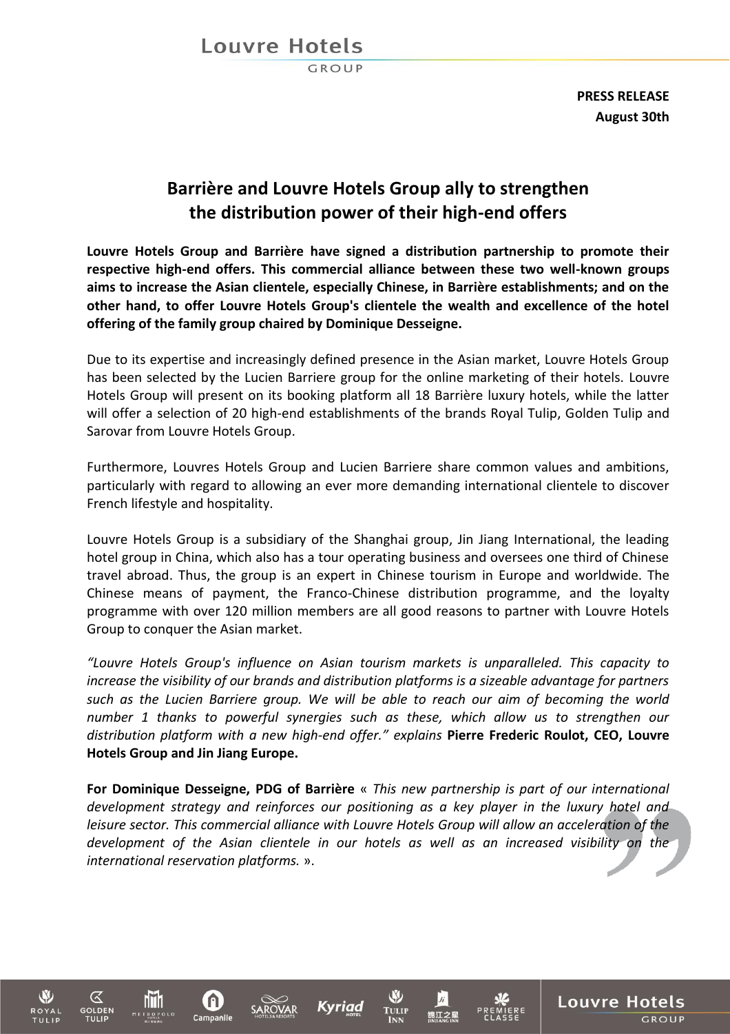## Louvre Hotels

GROUP

**PRESS RELEASE August 30th**

**Louvre Hotels** 

GROUP

# **Barrière and Louvre Hotels Group ally to strengthen the distribution power of their high-end offers**

**Louvre Hotels Group and Barrière have signed a distribution partnership to promote their respective high-end offers. This commercial alliance between these two well-known groups aims to increase the Asian clientele, especially Chinese, in Barrière establishments; and on the other hand, to offer Louvre Hotels Group's clientele the wealth and excellence of the hotel offering of the family group chaired by Dominique Desseigne.**

Due to its expertise and increasingly defined presence in the Asian market, Louvre Hotels Group has been selected by the Lucien Barriere group for the online marketing of their hotels. Louvre Hotels Group will present on its booking platform all 18 Barrière luxury hotels, while the latter will offer a selection of 20 high-end establishments of the brands Royal Tulip, Golden Tulip and Sarovar from Louvre Hotels Group.

Furthermore, Louvres Hotels Group and Lucien Barriere share common values and ambitions, particularly with regard to allowing an ever more demanding international clientele to discover French lifestyle and hospitality.

Louvre Hotels Group is a subsidiary of the Shanghai group, Jin Jiang International, the leading hotel group in China, which also has a tour operating business and oversees one third of Chinese travel abroad. Thus, the group is an expert in Chinese tourism in Europe and worldwide. The Chinese means of payment, the Franco-Chinese distribution programme, and the loyalty programme with over 120 million members are all good reasons to partner with Louvre Hotels Group to conquer the Asian market.

*"Louvre Hotels Group's influence on Asian tourism markets is unparalleled. This capacity to increase the visibility of our brands and distribution platforms is a sizeable advantage for partners such as the Lucien Barriere group. We will be able to reach our aim of becoming the world number 1 thanks to powerful synergies such as these, which allow us to strengthen our distribution platform with a new high-end offer." explains* **Pierre Frederic Roulot, CEO, Louvre Hotels Group and Jin Jiang Europe.**

**For Dominique Desseigne, PDG of Barrière** « *This new partnership is part of our international development strategy and reinforces our positioning as a key player in the luxury hotel and leisure sector. This commercial alliance with Louvre Hotels Group will allow an acceleration of the development of the Asian clientele in our hotels as well as an increased visibility on the international reservation platforms.* ».

**TULU** 

Kyriad

hTi